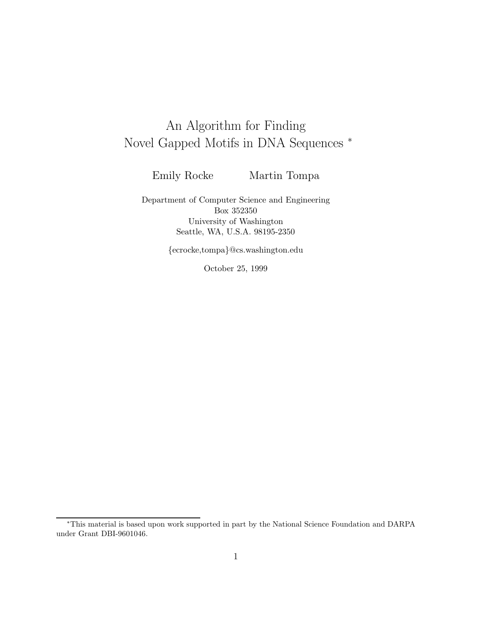# An Algorithm for Finding Novel Gapped Motifs in DNA Sequences <sup>∗</sup>

Emily Rocke Martin Tompa

Department of Computer Science and Engineering Box 352350 University of Washington Seattle, WA, U.S.A. 98195-2350

{ecrocke,tompa}@cs.washington.edu

October 25, 1999

<sup>∗</sup>This material is based upon work supported in part by the National Science Foundation and DARPA under Grant DBI-9601046.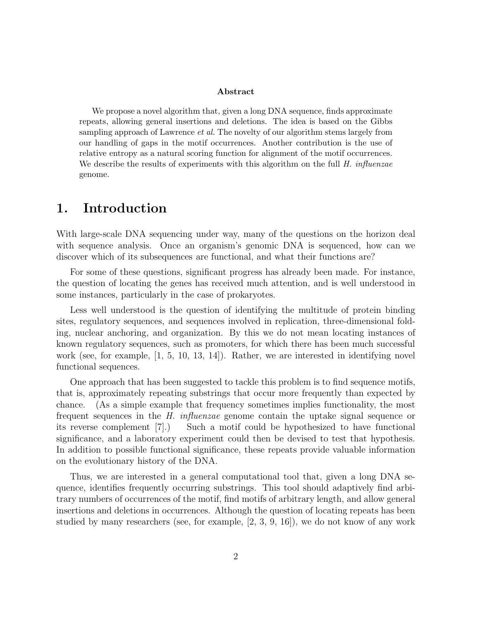#### Abstract

We propose a novel algorithm that, given a long DNA sequence, finds approximate repeats, allowing general insertions and deletions. The idea is based on the Gibbs sampling approach of Lawrence *et al.* The novelty of our algorithm stems largely from our handling of gaps in the motif occurrences. Another contribution is the use of relative entropy as a natural scoring function for alignment of the motif occurrences. We describe the results of experiments with this algorithm on the full  $H.$  influenzae genome.

#### 1. Introduction

With large-scale DNA sequencing under way, many of the questions on the horizon deal with sequence analysis. Once an organism's genomic DNA is sequenced, how can we discover which of its subsequences are functional, and what their functions are?

For some of these questions, significant progress has already been made. For instance, the question of locating the genes has received much attention, and is well understood in some instances, particularly in the case of prokaryotes.

Less well understood is the question of identifying the multitude of protein binding sites, regulatory sequences, and sequences involved in replication, three-dimensional folding, nuclear anchoring, and organization. By this we do not mean locating instances of known regulatory sequences, such as promoters, for which there has been much successful work (see, for example, [1, 5, 10, 13, 14]). Rather, we are interested in identifying novel functional sequences.

One approach that has been suggested to tackle this problem is to find sequence motifs, that is, approximately repeating substrings that occur more frequently than expected by chance. (As a simple example that frequency sometimes implies functionality, the most frequent sequences in the *H. influenzae* genome contain the uptake signal sequence or its reverse complement [7].) Such a motif could be hypothesized to have functional significance, and a laboratory experiment could then be devised to test that hypothesis. In addition to possible functional significance, these repeats provide valuable information on the evolutionary history of the DNA.

Thus, we are interested in a general computational tool that, given a long DNA sequence, identifies frequently occurring substrings. This tool should adaptively find arbitrary numbers of occurrences of the motif, find motifs of arbitrary length, and allow general insertions and deletions in occurrences. Although the question of locating repeats has been studied by many researchers (see, for example, [2, 3, 9, 16]), we do not know of any work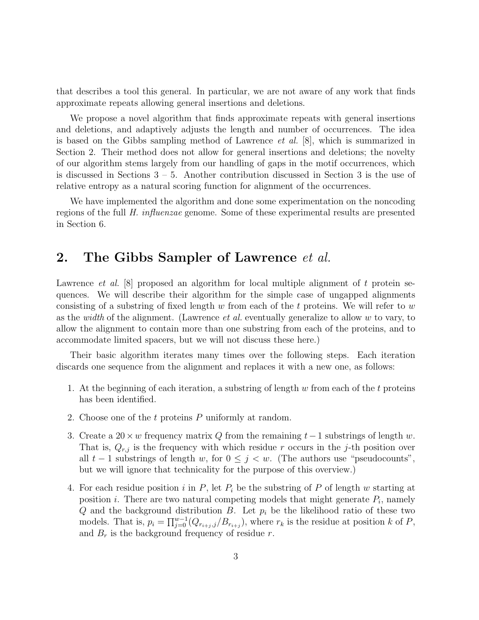that describes a tool this general. In particular, we are not aware of any work that finds approximate repeats allowing general insertions and deletions.

We propose a novel algorithm that finds approximate repeats with general insertions and deletions, and adaptively adjusts the length and number of occurrences. The idea is based on the Gibbs sampling method of Lawrence *et al.* [8], which is summarized in Section 2. Their method does not allow for general insertions and deletions; the novelty of our algorithm stems largely from our handling of gaps in the motif occurrences, which is discussed in Sections  $3 - 5$ . Another contribution discussed in Section 3 is the use of relative entropy as a natural scoring function for alignment of the occurrences.

We have implemented the algorithm and done some experimentation on the noncoding regions of the full *H. influenzae* genome. Some of these experimental results are presented in Section 6.

#### 2. The Gibbs Sampler of Lawrence *et al.*

Lawrence *et al.* [8] proposed an algorithm for local multiple alignment of t protein sequences. We will describe their algorithm for the simple case of ungapped alignments consisting of a substring of fixed length w from each of the t proteins. We will refer to  $w$ as the *width* of the alignment. (Lawrence *et al.* eventually generalize to allow w to vary, to allow the alignment to contain more than one substring from each of the proteins, and to accommodate limited spacers, but we will not discuss these here.)

Their basic algorithm iterates many times over the following steps. Each iteration discards one sequence from the alignment and replaces it with a new one, as follows:

- 1. At the beginning of each iteration, a substring of length w from each of the t proteins has been identified.
- 2. Choose one of the t proteins P uniformly at random.
- 3. Create a 20  $\times w$  frequency matrix Q from the remaining t 1 substrings of length w. That is,  $Q_{r,j}$  is the frequency with which residue r occurs in the j-th position over all  $t-1$  substrings of length w, for  $0 \leq j < w$ . (The authors use "pseudocounts", but we will ignore that technicality for the purpose of this overview.)
- 4. For each residue position i in  $P$ , let  $P_i$  be the substring of P of length w starting at position *i*. There are two natural competing models that might generate  $P_i$ , namely Q and the background distribution B. Let  $p_i$  be the likelihood ratio of these two models. That is,  $p_i = \prod_{j=0}^{w-1} (Q_{r_{i+j},j}/B_{r_{i+j}})$ , where  $r_k$  is the residue at position k of P, and  $B_r$  is the background frequency of residue r.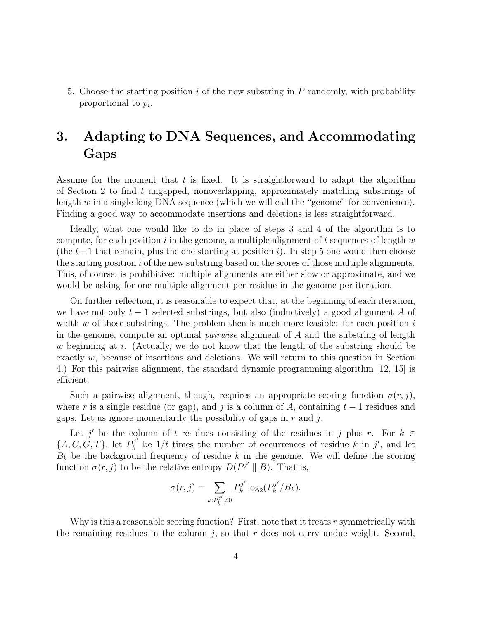5. Choose the starting position  $i$  of the new substring in  $P$  randomly, with probability proportional to  $p_i$ .

# 3. Adapting to DNA Sequences, and Accommodating Gaps

Assume for the moment that  $t$  is fixed. It is straightforward to adapt the algorithm of Section 2 to find t ungapped, nonoverlapping, approximately matching substrings of length w in a single long DNA sequence (which we will call the "genome" for convenience). Finding a good way to accommodate insertions and deletions is less straightforward.

Ideally, what one would like to do in place of steps 3 and 4 of the algorithm is to compute, for each position  $i$  in the genome, a multiple alignment of  $t$  sequences of length  $w$ (the  $t-1$  that remain, plus the one starting at position i). In step 5 one would then choose the starting position  $i$  of the new substring based on the scores of those multiple alignments. This, of course, is prohibitive: multiple alignments are either slow or approximate, and we would be asking for one multiple alignment per residue in the genome per iteration.

On further reflection, it is reasonable to expect that, at the beginning of each iteration, we have not only  $t-1$  selected substrings, but also (inductively) a good alignment A of width  $w$  of those substrings. The problem then is much more feasible: for each position  $i$ in the genome, compute an optimal *pairwise* alignment of A and the substring of length w beginning at i. (Actually, we do not know that the length of the substring should be exactly  $w$ , because of insertions and deletions. We will return to this question in Section 4.) For this pairwise alignment, the standard dynamic programming algorithm [12, 15] is efficient.

Such a pairwise alignment, though, requires an appropriate scoring function  $\sigma(r, j)$ , where r is a single residue (or gap), and j is a column of A, containing  $t-1$  residues and gaps. Let us ignore momentarily the possibility of gaps in  $r$  and  $j$ .

Let j' be the column of t residues consisting of the residues in j plus r. For  $k \in$  $\{A, C, G, T\}$ , let  $P_k^{j'}$  be  $1/t$  times the number of occurrences of residue k in j', and let  $B_k$  be the background frequency of residue k in the genome. We will define the scoring function  $\sigma(r, j)$  to be the relative entropy  $D(P^{j'} || B)$ . That is,

$$
\sigma(r,j) = \sum_{k:P_k^{j'} \neq 0} P_k^{j'} \log_2(P_k^{j'}/B_k).
$$

Why is this a reasonable scoring function? First, note that it treats r symmetrically with the remaining residues in the column  $j$ , so that  $r$  does not carry undue weight. Second,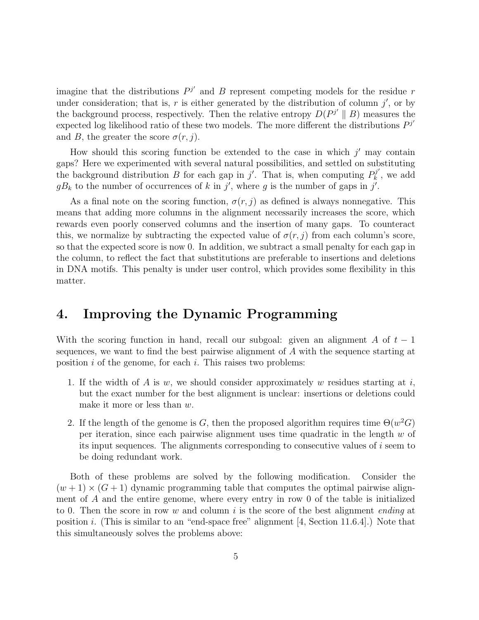imagine that the distributions  $P^{j'}$  and B represent competing models for the residue r under consideration; that is, r is either generated by the distribution of column  $j'$ , or by the background process, respectively. Then the relative entropy  $D(P^{j'}||B)$  measures the expected log likelihood ratio of these two models. The more different the distributions  $P^{j'}$ and B, the greater the score  $\sigma(r, j)$ .

How should this scoring function be extended to the case in which  $j'$  may contain gaps? Here we experimented with several natural possibilities, and settled on substituting the background distribution B for each gap in  $j'$ . That is, when computing  $P_k^{j'}$  $\mathbf{R}_k^{(j)}$ , we add  $gB_k$  to the number of occurrences of k in j', where g is the number of gaps in j'.

As a final note on the scoring function,  $\sigma(r, j)$  as defined is always nonnegative. This means that adding more columns in the alignment necessarily increases the score, which rewards even poorly conserved columns and the insertion of many gaps. To counteract this, we normalize by subtracting the expected value of  $\sigma(r, j)$  from each column's score, so that the expected score is now 0. In addition, we subtract a small penalty for each gap in the column, to reflect the fact that substitutions are preferable to insertions and deletions in DNA motifs. This penalty is under user control, which provides some flexibility in this matter.

#### 4. Improving the Dynamic Programming

With the scoring function in hand, recall our subgoal: given an alignment A of  $t-1$ sequences, we want to find the best pairwise alignment of A with the sequence starting at position  $i$  of the genome, for each  $i$ . This raises two problems:

- 1. If the width of A is  $w$ , we should consider approximately  $w$  residues starting at  $i$ , but the exact number for the best alignment is unclear: insertions or deletions could make it more or less than w.
- 2. If the length of the genome is G, then the proposed algorithm requires time  $\Theta(w^2G)$ per iteration, since each pairwise alignment uses time quadratic in the length  $w$  of its input sequences. The alignments corresponding to consecutive values of i seem to be doing redundant work.

Both of these problems are solved by the following modification. Consider the  $(w+1) \times (G+1)$  dynamic programming table that computes the optimal pairwise alignment of A and the entire genome, where every entry in row 0 of the table is initialized to 0. Then the score in row w and column i is the score of the best alignment *ending* at position i. (This is similar to an "end-space free" alignment [4, Section 11.6.4].) Note that this simultaneously solves the problems above: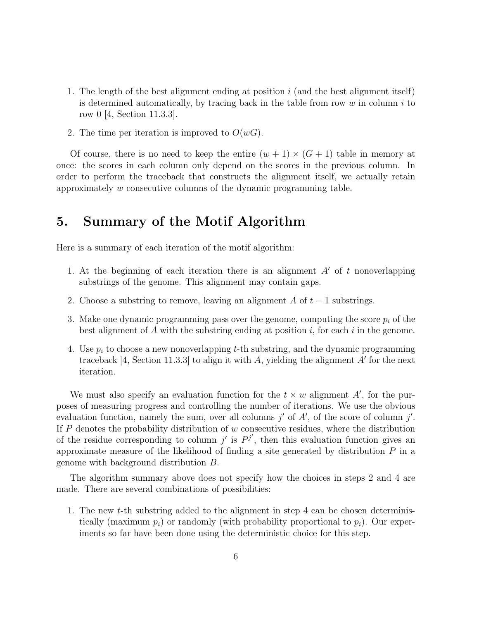- 1. The length of the best alignment ending at position  $i$  (and the best alignment itself) is determined automatically, by tracing back in the table from row  $w$  in column  $i$  to row 0 [4, Section 11.3.3].
- 2. The time per iteration is improved to  $O(wG)$ .

Of course, there is no need to keep the entire  $(w + 1) \times (G + 1)$  table in memory at once: the scores in each column only depend on the scores in the previous column. In order to perform the traceback that constructs the alignment itself, we actually retain approximately w consecutive columns of the dynamic programming table.

## 5. Summary of the Motif Algorithm

Here is a summary of each iteration of the motif algorithm:

- 1. At the beginning of each iteration there is an alignment  $A'$  of t nonoverlapping substrings of the genome. This alignment may contain gaps.
- 2. Choose a substring to remove, leaving an alignment A of  $t-1$  substrings.
- 3. Make one dynamic programming pass over the genome, computing the score  $p_i$  of the best alignment of A with the substring ending at position  $i$ , for each  $i$  in the genome.
- 4. Use  $p_i$  to choose a new nonoverlapping t-th substring, and the dynamic programming traceback [4, Section 11.3.3] to align it with A, yielding the alignment  $A'$  for the next iteration.

We must also specify an evaluation function for the  $t \times w$  alignment A', for the purposes of measuring progress and controlling the number of iterations. We use the obvious evaluation function, namely the sum, over all columns  $j'$  of  $A'$ , of the score of column  $j'$ . If  $P$  denotes the probability distribution of  $w$  consecutive residues, where the distribution of the residue corresponding to column  $j'$  is  $P^{j'}$ , then this evaluation function gives an approximate measure of the likelihood of finding a site generated by distribution  $P$  in a genome with background distribution B.

The algorithm summary above does not specify how the choices in steps 2 and 4 are made. There are several combinations of possibilities:

1. The new t-th substring added to the alignment in step 4 can be chosen deterministically (maximum  $p_i$ ) or randomly (with probability proportional to  $p_i$ ). Our experiments so far have been done using the deterministic choice for this step.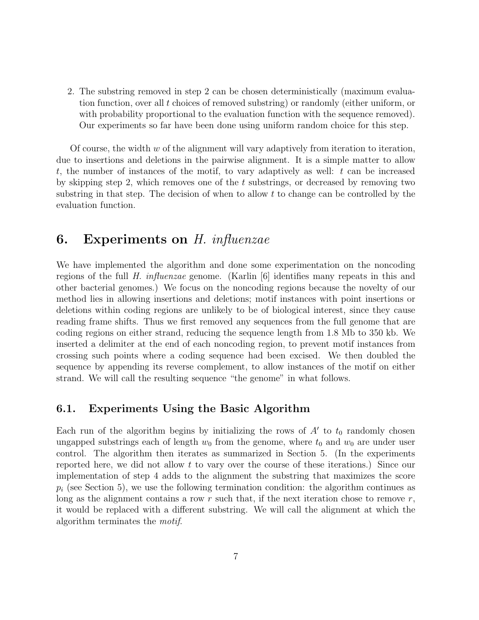2. The substring removed in step 2 can be chosen deterministically (maximum evaluation function, over all t choices of removed substring) or randomly (either uniform, or with probability proportional to the evaluation function with the sequence removed). Our experiments so far have been done using uniform random choice for this step.

Of course, the width  $w$  of the alignment will vary adaptively from iteration to iteration, due to insertions and deletions in the pairwise alignment. It is a simple matter to allow t, the number of instances of the motif, to vary adaptively as well:  $t$  can be increased by skipping step 2, which removes one of the t substrings, or decreased by removing two substring in that step. The decision of when to allow  $t$  to change can be controlled by the evaluation function.

## 6. Experiments on *H. influenzae*

We have implemented the algorithm and done some experimentation on the noncoding regions of the full *H. influenzae* genome. (Karlin [6] identifies many repeats in this and other bacterial genomes.) We focus on the noncoding regions because the novelty of our method lies in allowing insertions and deletions; motif instances with point insertions or deletions within coding regions are unlikely to be of biological interest, since they cause reading frame shifts. Thus we first removed any sequences from the full genome that are coding regions on either strand, reducing the sequence length from 1.8 Mb to 350 kb. We inserted a delimiter at the end of each noncoding region, to prevent motif instances from crossing such points where a coding sequence had been excised. We then doubled the sequence by appending its reverse complement, to allow instances of the motif on either strand. We will call the resulting sequence "the genome" in what follows.

#### 6.1. Experiments Using the Basic Algorithm

Each run of the algorithm begins by initializing the rows of  $A'$  to  $t_0$  randomly chosen ungapped substrings each of length  $w_0$  from the genome, where  $t_0$  and  $w_0$  are under user control. The algorithm then iterates as summarized in Section 5. (In the experiments reported here, we did not allow t to vary over the course of these iterations.) Since our implementation of step 4 adds to the alignment the substring that maximizes the score  $p_i$  (see Section 5), we use the following termination condition: the algorithm continues as long as the alignment contains a row  $r$  such that, if the next iteration chose to remove  $r$ , it would be replaced with a different substring. We will call the alignment at which the algorithm terminates the *motif*.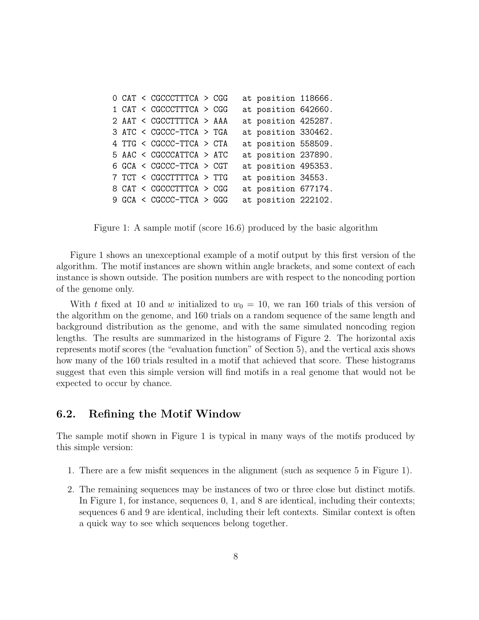|  | O CAT < CGCCCTTTCA > CGG |  | at position 118666. |  |
|--|--------------------------|--|---------------------|--|
|  | 1 CAT < CGCCCTTTCA > CGG |  | at position 642660. |  |
|  | 2 AAT < CGCCTTTTCA > AAA |  | at position 425287. |  |
|  | 3 ATC < CGCCC-TTCA > TGA |  | at position 330462. |  |
|  | 4 TTG < CGCCC-TTCA > CTA |  | at position 558509. |  |
|  | 5 AAC < CGCCCATTCA > ATC |  | at position 237890. |  |
|  | 6 GCA < CGCCC-TTCA > CGT |  | at position 495353. |  |
|  | 7 TCT < CGCCTTTTCA > TTG |  | at position 34553.  |  |
|  | 8 CAT < CGCCCTTTCA > CGG |  | at position 677174. |  |
|  | 9 GCA < CGCCC-TTCA > GGG |  | at position 222102. |  |

Figure 1: A sample motif (score 16.6) produced by the basic algorithm

Figure 1 shows an unexceptional example of a motif output by this first version of the algorithm. The motif instances are shown within angle brackets, and some context of each instance is shown outside. The position numbers are with respect to the noncoding portion of the genome only.

With t fixed at 10 and w initialized to  $w_0 = 10$ , we ran 160 trials of this version of the algorithm on the genome, and 160 trials on a random sequence of the same length and background distribution as the genome, and with the same simulated noncoding region lengths. The results are summarized in the histograms of Figure 2. The horizontal axis represents motif scores (the "evaluation function" of Section 5), and the vertical axis shows how many of the 160 trials resulted in a motif that achieved that score. These histograms suggest that even this simple version will find motifs in a real genome that would not be expected to occur by chance.

#### 6.2. Refining the Motif Window

The sample motif shown in Figure 1 is typical in many ways of the motifs produced by this simple version:

- 1. There are a few misfit sequences in the alignment (such as sequence 5 in Figure 1).
- 2. The remaining sequences may be instances of two or three close but distinct motifs. In Figure 1, for instance, sequences 0, 1, and 8 are identical, including their contexts; sequences 6 and 9 are identical, including their left contexts. Similar context is often a quick way to see which sequences belong together.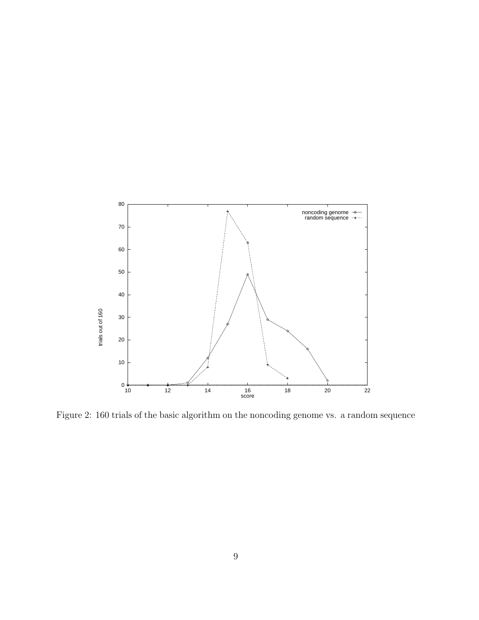

Figure 2: 160 trials of the basic algorithm on the noncoding genome vs. a random sequence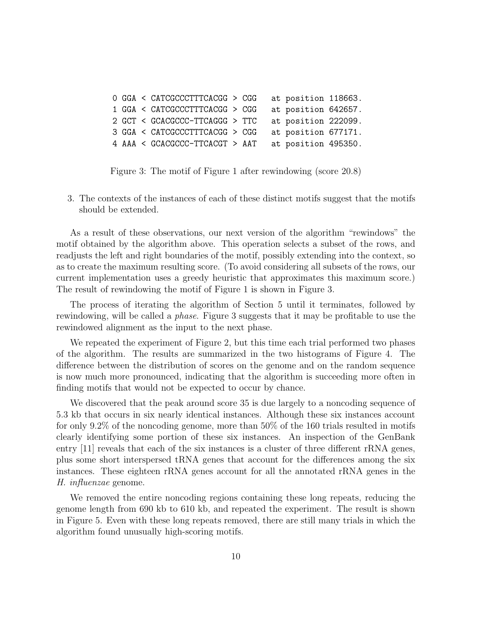0 GGA < CATCGCCCTTTCACGG > CGG at position 118663. 1 GGA < CATCGCCCTTTCACGG > CGG at position 642657. 2 GCT < GCACGCCC-TTCAGGG > TTC at position 222099. 3 GGA < CATCGCCCTTTCACGG > CGG at position 677171. 4 AAA < GCACGCCC-TTCACGT > AAT at position 495350.

Figure 3: The motif of Figure 1 after rewindowing (score 20.8)

3. The contexts of the instances of each of these distinct motifs suggest that the motifs should be extended.

As a result of these observations, our next version of the algorithm "rewindows" the motif obtained by the algorithm above. This operation selects a subset of the rows, and readjusts the left and right boundaries of the motif, possibly extending into the context, so as to create the maximum resulting score. (To avoid considering all subsets of the rows, our current implementation uses a greedy heuristic that approximates this maximum score.) The result of rewindowing the motif of Figure 1 is shown in Figure 3.

The process of iterating the algorithm of Section 5 until it terminates, followed by rewindowing, will be called a *phase*. Figure 3 suggests that it may be profitable to use the rewindowed alignment as the input to the next phase.

We repeated the experiment of Figure 2, but this time each trial performed two phases of the algorithm. The results are summarized in the two histograms of Figure 4. The difference between the distribution of scores on the genome and on the random sequence is now much more pronounced, indicating that the algorithm is succeeding more often in finding motifs that would not be expected to occur by chance.

We discovered that the peak around score 35 is due largely to a noncoding sequence of 5.3 kb that occurs in six nearly identical instances. Although these six instances account for only 9.2% of the noncoding genome, more than 50% of the 160 trials resulted in motifs clearly identifying some portion of these six instances. An inspection of the GenBank entry [11] reveals that each of the six instances is a cluster of three different rRNA genes, plus some short interspersed tRNA genes that account for the differences among the six instances. These eighteen rRNA genes account for all the annotated rRNA genes in the *H. influenzae* genome.

We removed the entire noncoding regions containing these long repeats, reducing the genome length from 690 kb to 610 kb, and repeated the experiment. The result is shown in Figure 5. Even with these long repeats removed, there are still many trials in which the algorithm found unusually high-scoring motifs.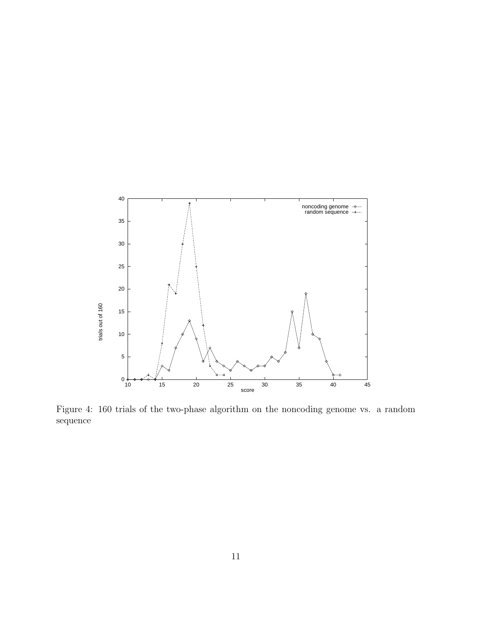

Figure 4: 160 trials of the two-phase algorithm on the noncoding genome vs. a random sequence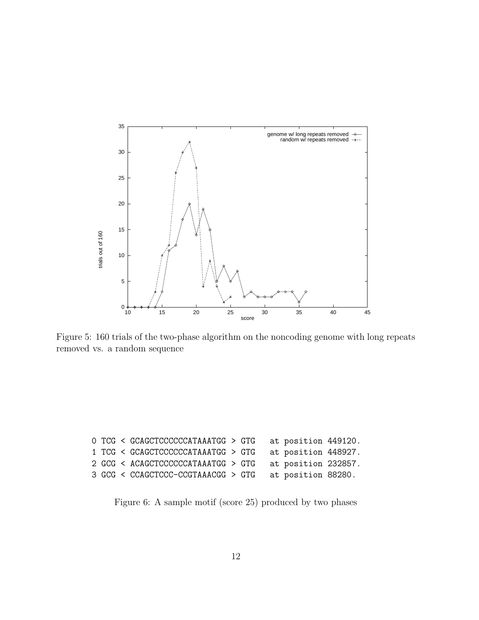

Figure 5: 160 trials of the two-phase algorithm on the noncoding genome with long repeats removed vs. a random sequence

|  | O TCG < GCAGCTCCCCCCATAAATGG > GTG |  | at position 449120. |  |
|--|------------------------------------|--|---------------------|--|
|  | 1 TCG < GCAGCTCCCCCCATAAATGG > GTG |  | at position 448927. |  |
|  | 2 GCG < ACAGCTCCCCCCATAAATGG > GTG |  | at position 232857. |  |
|  | 3 GCG < CCAGCTCCC-CCGTAAACGG > GTG |  | at position 88280.  |  |

Figure 6: A sample motif (score 25) produced by two phases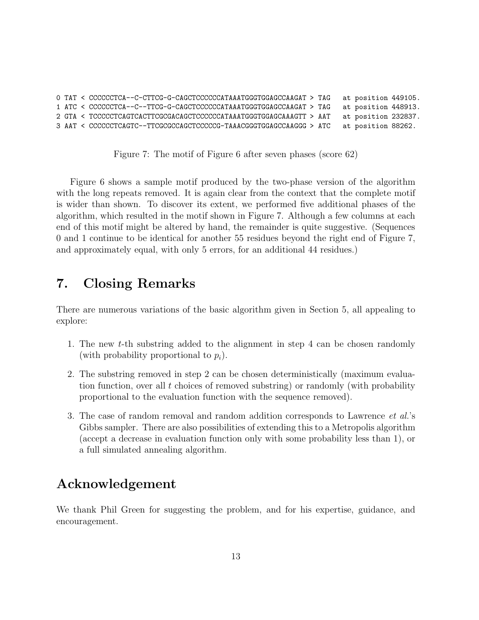```
0 TAT < CCCCCCTCA--C-CTTCG-G-CAGCTCCCCCCATAAATGGGTGGAGCCAAGAT > TAG at position 449105.
1 ATC < CCCCCCTCA--C--TTCG-G-CAGCTCCCCCCATAAATGGGTGGAGCCAAGAT > TAG at position 448913.
2 GTA < TCCCCCTCAGTCACTTCGCGACAGCTCCCCCCATAAATGGGTGGAGCAAAGTT > AAT at position 232837.
3 AAT < CCCCCCTCAGTC--TTCGCGCCAGCTCCCCCG-TAAACGGGTGGAGCCAAGGG > ATC at position 88262.
```
Figure 7: The motif of Figure 6 after seven phases (score 62)

Figure 6 shows a sample motif produced by the two-phase version of the algorithm with the long repeats removed. It is again clear from the context that the complete motif is wider than shown. To discover its extent, we performed five additional phases of the algorithm, which resulted in the motif shown in Figure 7. Although a few columns at each end of this motif might be altered by hand, the remainder is quite suggestive. (Sequences 0 and 1 continue to be identical for another 55 residues beyond the right end of Figure 7, and approximately equal, with only 5 errors, for an additional 44 residues.)

## 7. Closing Remarks

There are numerous variations of the basic algorithm given in Section 5, all appealing to explore:

- 1. The new t-th substring added to the alignment in step 4 can be chosen randomly (with probability proportional to  $p_i$ ).
- 2. The substring removed in step 2 can be chosen deterministically (maximum evaluation function, over all t choices of removed substring) or randomly (with probability proportional to the evaluation function with the sequence removed).
- 3. The case of random removal and random addition corresponds to Lawrence *et al.*'s Gibbs sampler. There are also possibilities of extending this to a Metropolis algorithm (accept a decrease in evaluation function only with some probability less than 1), or a full simulated annealing algorithm.

## Acknowledgement

We thank Phil Green for suggesting the problem, and for his expertise, guidance, and encouragement.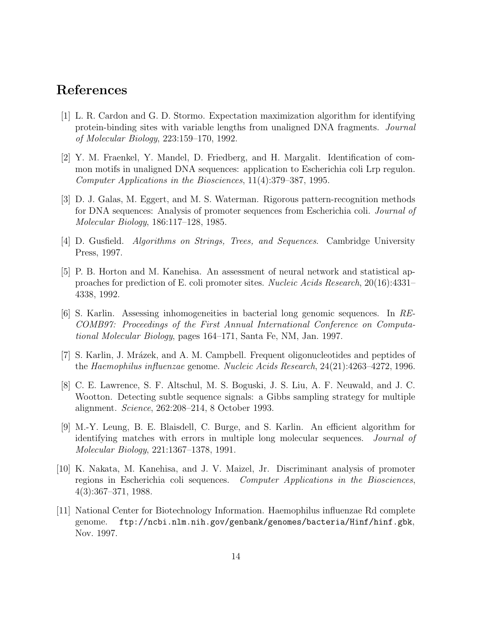## References

- [1] L. R. Cardon and G. D. Stormo. Expectation maximization algorithm for identifying protein-binding sites with variable lengths from unaligned DNA fragments. *Journal of Molecular Biology*, 223:159–170, 1992.
- [2] Y. M. Fraenkel, Y. Mandel, D. Friedberg, and H. Margalit. Identification of common motifs in unaligned DNA sequences: application to Escherichia coli Lrp regulon. *Computer Applications in the Biosciences*, 11(4):379–387, 1995.
- [3] D. J. Galas, M. Eggert, and M. S. Waterman. Rigorous pattern-recognition methods for DNA sequences: Analysis of promoter sequences from Escherichia coli. *Journal of Molecular Biology*, 186:117–128, 1985.
- [4] D. Gusfield. *Algorithms on Strings, Trees, and Sequences*. Cambridge University Press, 1997.
- [5] P. B. Horton and M. Kanehisa. An assessment of neural network and statistical approaches for prediction of E. coli promoter sites. *Nucleic Acids Research*, 20(16):4331– 4338, 1992.
- [6] S. Karlin. Assessing inhomogeneities in bacterial long genomic sequences. In *RE-COMB97: Proceedings of the First Annual International Conference on Computational Molecular Biology*, pages 164–171, Santa Fe, NM, Jan. 1997.
- [7] S. Karlin, J. Mrázek, and A. M. Campbell. Frequent oligonucleotides and peptides of the *Haemophilus influenzae* genome. *Nucleic Acids Research*, 24(21):4263–4272, 1996.
- [8] C. E. Lawrence, S. F. Altschul, M. S. Boguski, J. S. Liu, A. F. Neuwald, and J. C. Wootton. Detecting subtle sequence signals: a Gibbs sampling strategy for multiple alignment. *Science*, 262:208–214, 8 October 1993.
- [9] M.-Y. Leung, B. E. Blaisdell, C. Burge, and S. Karlin. An efficient algorithm for identifying matches with errors in multiple long molecular sequences. *Journal of Molecular Biology*, 221:1367–1378, 1991.
- [10] K. Nakata, M. Kanehisa, and J. V. Maizel, Jr. Discriminant analysis of promoter regions in Escherichia coli sequences. *Computer Applications in the Biosciences*, 4(3):367–371, 1988.
- [11] National Center for Biotechnology Information. Haemophilus influenzae Rd complete genome. ftp://ncbi.nlm.nih.gov/genbank/genomes/bacteria/Hinf/hinf.gbk, Nov. 1997.